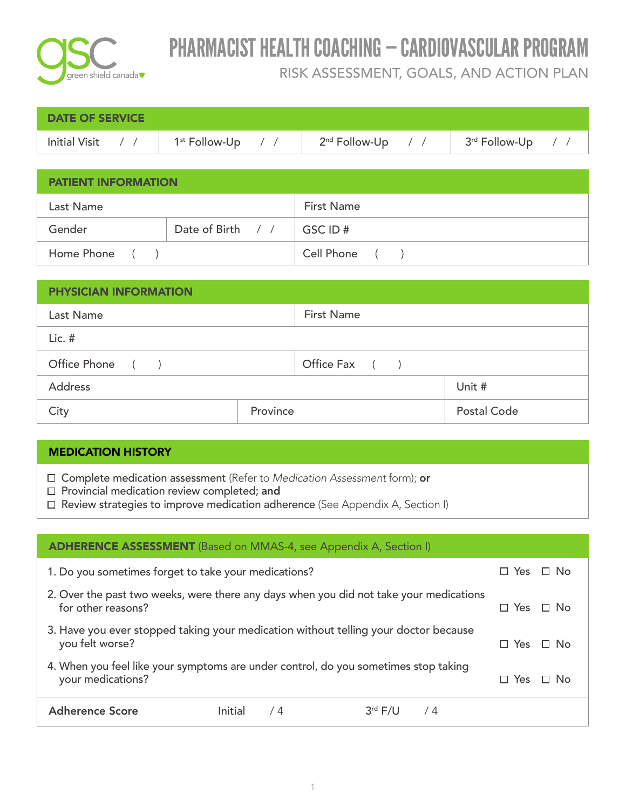

| DATE OF SERVICE |                                                                                                                                                                                                                                  |  |
|-----------------|----------------------------------------------------------------------------------------------------------------------------------------------------------------------------------------------------------------------------------|--|
|                 | Initial Visit $\left\langle \right $ / $\left  \right $ 1 <sup>st</sup> Follow-Up $\left  \right $ / $\left  \right $ 2 <sup>nd</sup> Follow-Up $\left  \right $ / $\left  \right $ 3 <sup>rd</sup> Follow-Up $\left  \right $ / |  |

| <b>PATIENT INFORMATION</b> |                   |                   |  |
|----------------------------|-------------------|-------------------|--|
| Last Name                  |                   | <b>First Name</b> |  |
| Gender                     | Date of Birth / / | ∣GSC ID #         |  |
| Home Phone ()              |                   | Cell Phone ()     |  |

| <b>PHYSICIAN INFORMATION</b> |                   |                  |  |  |
|------------------------------|-------------------|------------------|--|--|
| Last Name                    | <b>First Name</b> |                  |  |  |
| $Lic.$ #                     |                   |                  |  |  |
| Office Phone ()              |                   | Office Fax $( )$ |  |  |
| <b>Address</b>               |                   | Unit #           |  |  |
| City                         | Province          | Postal Code      |  |  |

| <b>MEDICATION HISTORY</b>                                                                                                                                                                                                     |                                               |
|-------------------------------------------------------------------------------------------------------------------------------------------------------------------------------------------------------------------------------|-----------------------------------------------|
| $\Box$ Complete medication assessment (Refer to Medication Assessment form); or<br>$\Box$ Provincial medication review completed; and<br>$\Box$ Review strategies to improve medication adherence (See Appendix A, Section I) |                                               |
| <b>ADHERENCE ASSESSMENT</b> (Based on MMAS-4, see Appendix A, Section I)                                                                                                                                                      |                                               |
|                                                                                                                                                                                                                               | $\Box$ V <sub>22</sub> $\Box$ N <sub>12</sub> |

| 1. Do you sometimes forget to take your medications?                                                         |         |    |               | $\Box$ Yes $\Box$ No |  |
|--------------------------------------------------------------------------------------------------------------|---------|----|---------------|----------------------|--|
| 2. Over the past two weeks, were there any days when you did not take your medications<br>for other reasons? |         |    |               | $\Box$ Yes $\Box$ No |  |
| 3. Have you ever stopped taking your medication without telling your doctor because<br>you felt worse?       |         |    |               | $\Box$ Yes $\Box$ No |  |
| 4. When you feel like your symptoms are under control, do you sometimes stop taking<br>your medications?     |         |    |               | $\Box$ Yes $\Box$ No |  |
| <b>Adherence Score</b>                                                                                       | Initial | /4 | $3rd F/U$ / 4 |                      |  |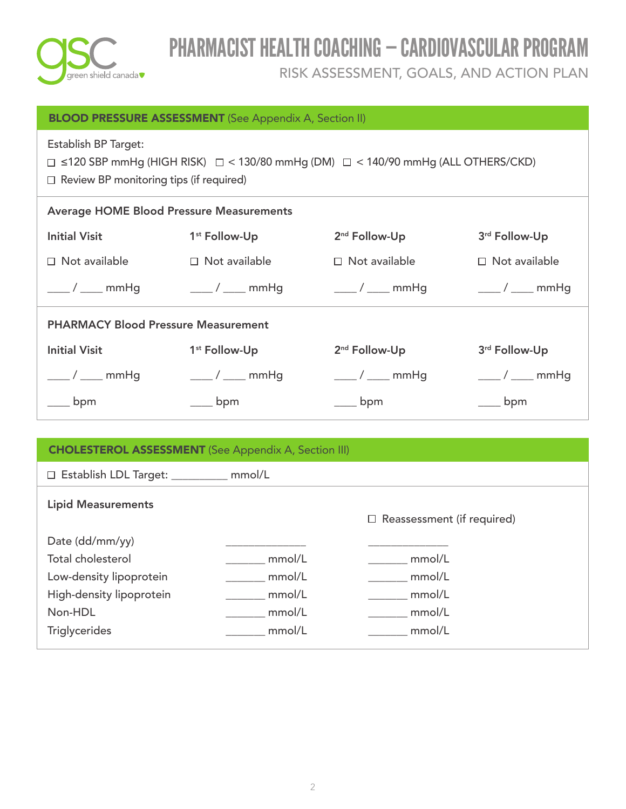

| <b>BLOOD PRESSURE ASSESSMENT</b> (See Appendix A, Section II)                                                                                                              |                                                                         |                           |                             |  |  |  |  |
|----------------------------------------------------------------------------------------------------------------------------------------------------------------------------|-------------------------------------------------------------------------|---------------------------|-----------------------------|--|--|--|--|
| Establish BP Target:<br>$\Box$ ≤120 SBP mmHg (HIGH RISK) $\Box$ < 130/80 mmHg (DM) $\Box$ < 140/90 mmHg (ALL OTHERS/CKD)<br>$\Box$ Review BP monitoring tips (if required) |                                                                         |                           |                             |  |  |  |  |
| <b>Average HOME Blood Pressure Measurements</b>                                                                                                                            |                                                                         |                           |                             |  |  |  |  |
| <b>Initial Visit</b>                                                                                                                                                       | 2 <sup>nd</sup> Follow-Up<br>3rd Follow-Up<br>1 <sup>st</sup> Follow-Up |                           |                             |  |  |  |  |
| $\Box$ Not available                                                                                                                                                       | $\Box$ Not available                                                    | $\Box$ Not available      | $\Box$ Not available        |  |  |  |  |
| ____ / ____ mmHg                                                                                                                                                           | $\frac{1}{\sqrt{1-\mu}}$ mmHg                                           | $\frac{1}{\sqrt{2}}$ mmHg | $\frac{1}{\sqrt{2}}$ mmHg   |  |  |  |  |
| <b>PHARMACY Blood Pressure Measurement</b>                                                                                                                                 |                                                                         |                           |                             |  |  |  |  |
| <b>Initial Visit</b><br>1 <sup>st</sup> Follow-Up<br>2 <sup>nd</sup> Follow-Up<br>3rd Follow-Up                                                                            |                                                                         |                           |                             |  |  |  |  |
| $\frac{1}{\sqrt{2}}$ mmHg                                                                                                                                                  | $\frac{1}{\sqrt{2}}$ mmHg                                               | $\frac{1}{\sqrt{2}}$ mmHg | $\frac{\ }{\ }$ / ____ mmHg |  |  |  |  |
| bpm                                                                                                                                                                        | bpm                                                                     | bpm                       | bpm                         |  |  |  |  |

| <b>CHOLESTEROL ASSESSMENT</b> (See Appendix A, Section III)                                                   |                                      |                                      |  |  |  |
|---------------------------------------------------------------------------------------------------------------|--------------------------------------|--------------------------------------|--|--|--|
| □ Establish LDL Target: _________ mmol/L                                                                      |                                      |                                      |  |  |  |
| <b>Lipid Measurements</b>                                                                                     |                                      | $\Box$ Reassessment (if required)    |  |  |  |
| Date (dd/mm/yy)<br><b>Total cholesterol</b><br>Low-density lipoprotein<br>High-density lipoprotein<br>Non-HDL | mmol/L<br>mmol/L<br>mmol/L<br>mmol/L | mmol/L<br>mmol/L<br>mmol/L<br>mmol/L |  |  |  |
| <b>Triglycerides</b>                                                                                          | mmol/L                               | mmol/L                               |  |  |  |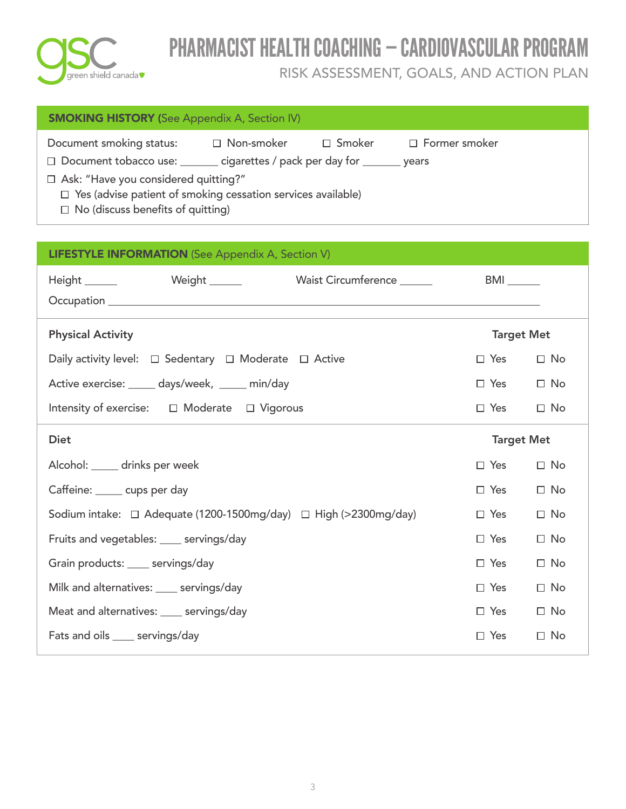

| <b>SMOKING HISTORY</b> (See Appendix A, Section IV)                                                             |                   |          |                      |  |  |
|-----------------------------------------------------------------------------------------------------------------|-------------------|----------|----------------------|--|--|
| Document smoking status:<br>□ Document tobacco use: ______ cigarettes / pack per day for ______ years           | $\Box$ Non-smoker | □ Smoker | $\Box$ Former smoker |  |  |
| □ Ask: "Have you considered quitting?"                                                                          |                   |          |                      |  |  |
| $\Box$ Yes (advise patient of smoking cessation services available)<br>$\Box$ No (discuss benefits of quitting) |                   |          |                      |  |  |

| <b>LIFESTYLE INFORMATION</b> (See Appendix A, Section V)                   |                   |              |  |  |  |
|----------------------------------------------------------------------------|-------------------|--------------|--|--|--|
|                                                                            |                   |              |  |  |  |
| <b>Physical Activity</b>                                                   | <b>Target Met</b> |              |  |  |  |
| Daily activity level: $\Box$ Sedentary $\Box$ Moderate $\Box$ Active       | $\Box$ Yes        | $\square$ No |  |  |  |
| Active exercise: _____ days/week, _____ min/day                            | $\Box$ Yes        | $\Box$ No    |  |  |  |
| Intensity of exercise: □ Moderate □ Vigorous                               | $\Box$ Yes        | $\Box$ No    |  |  |  |
| <b>Diet</b>                                                                | <b>Target Met</b> |              |  |  |  |
| Alcohol: _____ drinks per week                                             | $\Box$ Yes        | $\Box$ No    |  |  |  |
| Caffeine: _____ cups per day                                               | $\Box$ Yes        | $\Box$ No    |  |  |  |
| Sodium intake: $\Box$ Adequate (1200-1500mg/day) $\Box$ High (>2300mg/day) | $\Box$ Yes        | $\Box$ No    |  |  |  |
| Fruits and vegetables: ____ servings/day                                   | $\Box$ Yes        | $\Box$ No    |  |  |  |
| Grain products: ____ servings/day                                          | $\Box$ Yes        | $\Box$ No    |  |  |  |
| Milk and alternatives: ____ servings/day                                   | $\Box$ Yes        | $\Box$ No    |  |  |  |
| Meat and alternatives: ____ servings/day                                   | $\Box$ Yes        | $\Box$ No    |  |  |  |
| Fats and oils _____ servings/day                                           | $\Box$ Yes        | $\Box$ No    |  |  |  |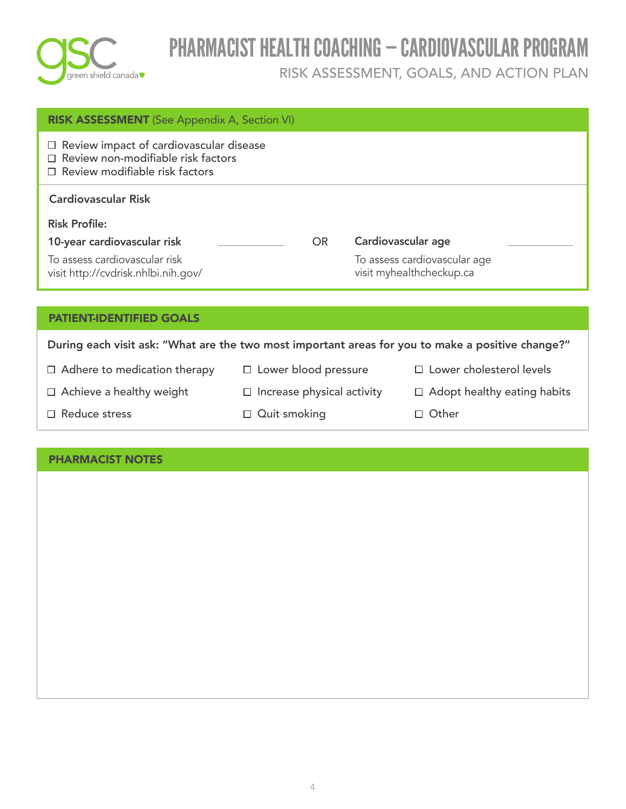

| <b>RISK ASSESSMENT</b> (See Appendix A, Section VI)                                                                    |                                 |     |                    |                                                          |
|------------------------------------------------------------------------------------------------------------------------|---------------------------------|-----|--------------------|----------------------------------------------------------|
| $\Box$ Review impact of cardiovascular disease<br>Review non-modifiable risk factors<br>Review modifiable risk factors |                                 |     |                    |                                                          |
| <b>Cardiovascular Risk</b>                                                                                             |                                 |     |                    |                                                          |
| <b>Risk Profile:</b>                                                                                                   |                                 |     |                    |                                                          |
| 10-year cardiovascular risk                                                                                            |                                 | OR. | Cardiovascular age |                                                          |
| To assess cardiovascular risk<br>visit http://cvdrisk.nhlbi.nih.gov/                                                   |                                 |     |                    | To assess cardiovascular age<br>visit myhealthcheckup.ca |
|                                                                                                                        |                                 |     |                    |                                                          |
| <b>PATIENT-IDENTIFIED GOALS</b>                                                                                        |                                 |     |                    |                                                          |
| During each visit ask: "What are the two most important areas for you to make a positive change?"                      |                                 |     |                    |                                                          |
| $\Box$ Adhere to medication therapy                                                                                    | $\Box$ Lower blood pressure     |     |                    | $\Box$ Lower cholesterol levels                          |
| Achieve a healthy weight<br>$\Box$                                                                                     | Increase physical activity<br>⊔ |     |                    | Adopt healthy eating habits<br>$\Box$                    |
| $\Box$ Reduce stress                                                                                                   | $\Box$ Quit smoking             |     |                    | Other<br>П                                               |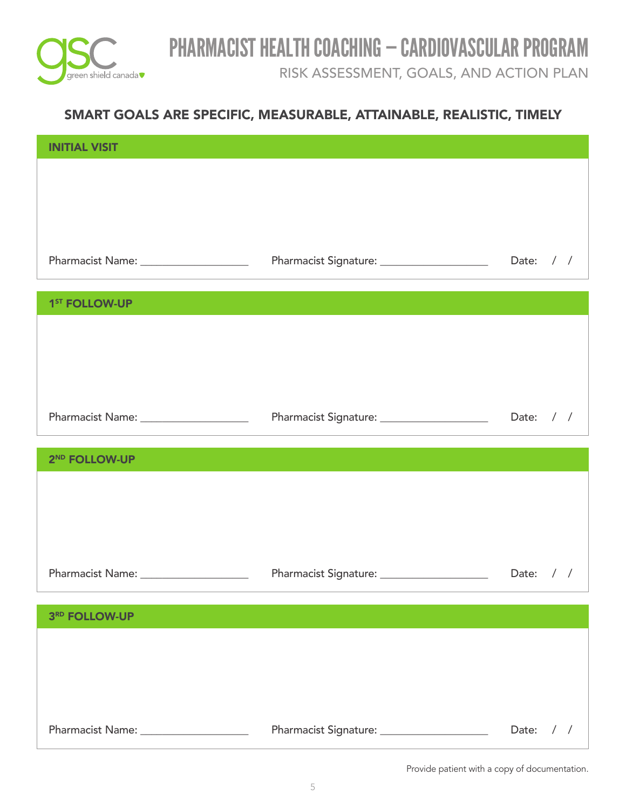

RISK ASSESSMENT, GOALS, AND ACTION PLAN

### SMART GOALS ARE SPECIFIC, MEASURABLE, ATTAINABLE, REALISTIC, TIMELY

| <b>INITIAL VISIT</b>                   |                                             |                        |
|----------------------------------------|---------------------------------------------|------------------------|
|                                        |                                             |                        |
|                                        |                                             |                        |
|                                        |                                             |                        |
| Pharmacist Name: _____________________ | Pharmacist Signature: _____________________ | Date: $/ /$            |
|                                        |                                             |                        |
| 1 <sup>ST</sup> FOLLOW-UP              |                                             |                        |
|                                        |                                             |                        |
|                                        |                                             |                        |
|                                        |                                             |                        |
| Pharmacist Name: _____________________ |                                             |                        |
|                                        |                                             |                        |
| 2 <sup>ND</sup> FOLLOW-UP              |                                             |                        |
|                                        |                                             |                        |
|                                        |                                             |                        |
|                                        |                                             |                        |
| Pharmacist Name: _____________________ | Pharmacist Signature: _____________________ | Date: / /              |
|                                        |                                             |                        |
| 3RD FOLLOW-UP                          |                                             |                        |
|                                        |                                             |                        |
|                                        |                                             |                        |
|                                        |                                             |                        |
|                                        | Pharmacist Signature: _____________________ | Date:<br>$\frac{1}{2}$ |